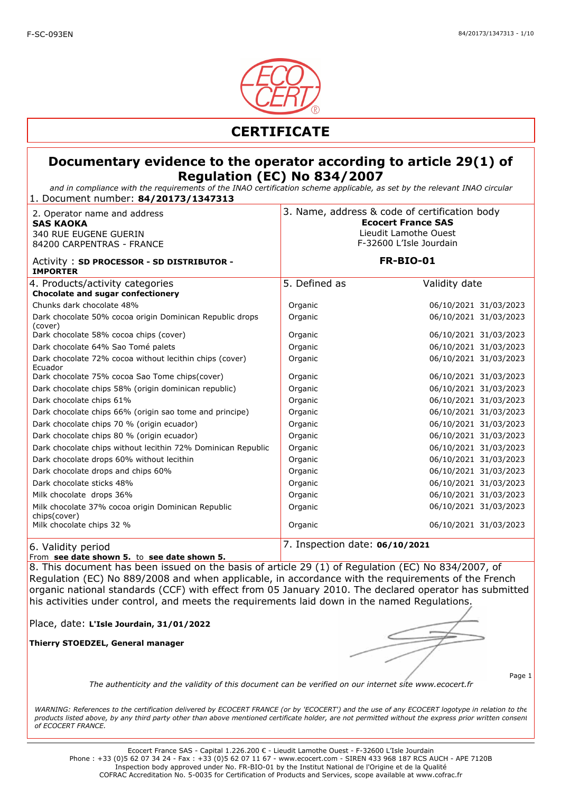

*and in compliance with the requirements of the INAO certification scheme applicable, as set by the relevant INAO circular* 1. Document number: **84/20173/1347313**

| 2. Operator name and address<br><b>SAS KAOKA</b><br><b>340 RUE EUGENE GUERIN</b><br>84200 CARPENTRAS - FRANCE | 3. Name, address & code of certification body | <b>Ecocert France SAS</b><br>Lieudit Lamothe Ouest<br>F-32600 L'Isle Jourdain |
|---------------------------------------------------------------------------------------------------------------|-----------------------------------------------|-------------------------------------------------------------------------------|
| Activity: SD PROCESSOR - SD DISTRIBUTOR -<br><b>IMPORTER</b>                                                  |                                               | <b>FR-BIO-01</b>                                                              |
| 4. Products/activity categories<br>Chocolate and sugar confectionery                                          | 5. Defined as                                 | Validity date                                                                 |
| Chunks dark chocolate 48%                                                                                     | Organic                                       | 06/10/2021 31/03/2023                                                         |
| Dark chocolate 50% cocoa origin Dominican Republic drops<br>(cover)                                           | Organic                                       | 06/10/2021 31/03/2023                                                         |
| Dark chocolate 58% cocoa chips (cover)                                                                        | Organic                                       | 06/10/2021 31/03/2023                                                         |
| Dark chocolate 64% Sao Tomé palets                                                                            | Organic                                       | 06/10/2021 31/03/2023                                                         |
| Dark chocolate 72% cocoa without lecithin chips (cover)<br>Ecuador                                            | Organic                                       | 06/10/2021 31/03/2023                                                         |
| Dark chocolate 75% cocoa Sao Tome chips(cover)                                                                | Organic                                       | 06/10/2021 31/03/2023                                                         |
| Dark chocolate chips 58% (origin dominican republic)                                                          | Organic                                       | 06/10/2021 31/03/2023                                                         |
| Dark chocolate chips 61%                                                                                      | Organic                                       | 06/10/2021 31/03/2023                                                         |
| Dark chocolate chips 66% (origin sao tome and principe)                                                       | Organic                                       | 06/10/2021 31/03/2023                                                         |
| Dark chocolate chips 70 % (origin ecuador)                                                                    | Organic                                       | 06/10/2021 31/03/2023                                                         |
| Dark chocolate chips 80 % (origin ecuador)                                                                    | Organic                                       | 06/10/2021 31/03/2023                                                         |
| Dark chocolate chips without lecithin 72% Dominican Republic                                                  | Organic                                       | 06/10/2021 31/03/2023                                                         |
| Dark chocolate drops 60% without lecithin                                                                     | Organic                                       | 06/10/2021 31/03/2023                                                         |
| Dark chocolate drops and chips 60%                                                                            | Organic                                       | 06/10/2021 31/03/2023                                                         |
| Dark chocolate sticks 48%                                                                                     | Organic                                       | 06/10/2021 31/03/2023                                                         |
| Milk chocolate drops 36%                                                                                      | Organic                                       | 06/10/2021 31/03/2023                                                         |
| Milk chocolate 37% cocoa origin Dominican Republic<br>chips(cover)                                            | Organic                                       | 06/10/2021 31/03/2023                                                         |
| Milk chocolate chips 32 %                                                                                     | Organic                                       | 06/10/2021 31/03/2023                                                         |
| 6. Validity period                                                                                            | 7. Inspection date: 06/10/2021                |                                                                               |

From **see date shown 5.** to **see date shown 5.** 

8. This document has been issued on the basis of article 29 (1) of Regulation (EC) No 834/2007, of Regulation (EC) No 889/2008 and when applicable, in accordance with the requirements of the French organic national standards (CCF) with effect from 05 January 2010. The declared operator has submitted his activities under control, and meets the requirements laid down in the named Regulations.

Place, date: **L'Isle Jourdain, 31/01/2022**

**Thierry STOEDZEL, General manager**

Page 1

*The authenticity and the validity of this document can be verified on our internet site www.ecocert.fr*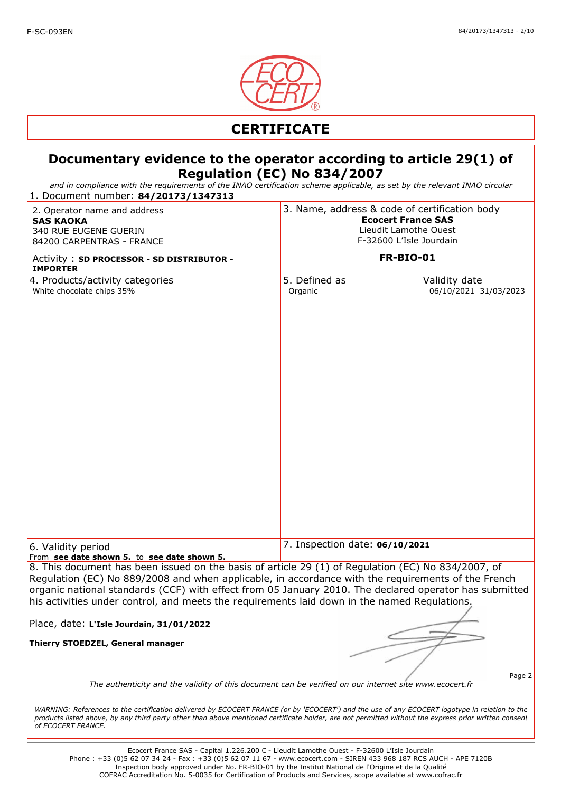

*and in compliance with the requirements of the INAO certification scheme applicable, as set by the relevant INAO circular*

| 1. Document number: 84/20173/1347313                                                                                                                                                                                                                                                                                                                                                                               |                                                                                                                                                    |  |
|--------------------------------------------------------------------------------------------------------------------------------------------------------------------------------------------------------------------------------------------------------------------------------------------------------------------------------------------------------------------------------------------------------------------|----------------------------------------------------------------------------------------------------------------------------------------------------|--|
| 2. Operator name and address<br><b>SAS KAOKA</b><br>340 RUE EUGENE GUERIN<br>84200 CARPENTRAS - FRANCE<br>Activity: SD PROCESSOR - SD DISTRIBUTOR -<br><b>IMPORTER</b>                                                                                                                                                                                                                                             | 3. Name, address & code of certification body<br><b>Ecocert France SAS</b><br>Lieudit Lamothe Ouest<br>F-32600 L'Isle Jourdain<br><b>FR-BIO-01</b> |  |
| 4. Products/activity categories                                                                                                                                                                                                                                                                                                                                                                                    | 5. Defined as<br>Validity date                                                                                                                     |  |
| White chocolate chips 35%                                                                                                                                                                                                                                                                                                                                                                                          | Organic<br>06/10/2021 31/03/2023                                                                                                                   |  |
| 6. Validity period<br>From see date shown 5. to see date shown 5.                                                                                                                                                                                                                                                                                                                                                  | 7. Inspection date: 06/10/2021                                                                                                                     |  |
| 8. This document has been issued on the basis of article 29 (1) of Regulation (EC) No 834/2007, of<br>Regulation (EC) No 889/2008 and when applicable, in accordance with the requirements of the French<br>organic national standards (CCF) with effect from 05 January 2010. The declared operator has submitted<br>his activities under control, and meets the requirements laid down in the named Regulations. |                                                                                                                                                    |  |
| Place, date: L'Isle Jourdain, 31/01/2022                                                                                                                                                                                                                                                                                                                                                                           |                                                                                                                                                    |  |
| Thierry STOEDZEL, General manager                                                                                                                                                                                                                                                                                                                                                                                  | Page 2<br>The authenticity and the validity of this document can be verified on our internet site www.ecocert.fr                                   |  |
| WARNING: References to the certification delivered by ECOCERT FRANCE (or by 'ECOCERT') and the use of any ECOCERT logotype in relation to the<br>products listed above, by any third party other than above mentioned certificate holder, are not permitted without the express prior written consent<br>of ECOCERT FRANCE.                                                                                        |                                                                                                                                                    |  |
|                                                                                                                                                                                                                                                                                                                                                                                                                    | Ecocert France SAS - Capital 1.226.200 € - Lieudit Lamothe Ouest - F-32600 L'Isle Jourdain                                                         |  |

Phone : +33 (0)5 62 07 34 24 - Fax : +33 (0)5 62 07 11 67 - www.ecocert.com - SIREN 433 968 187 RCS AUCH - APE 7120B Inspection body approved under No. FR-BIO-01 by the Institut National de l'Origine et de la Qualité COFRAC Accreditation No. 5-0035 for Certification of Products and Services, scope available at www.cofrac.fr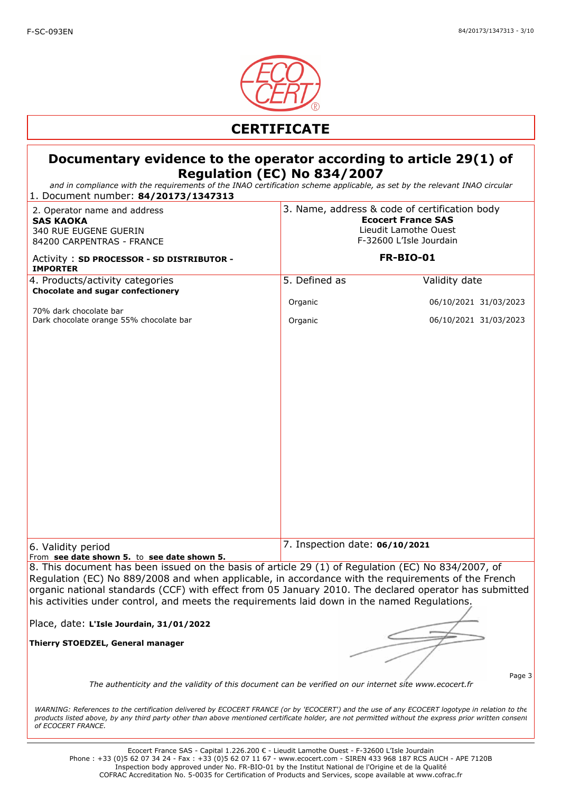

*and in compliance with the requirements of the INAO certification scheme applicable, as set by the relevant INAO circular*

| 1. Document number: 84/20173/1347313                                                                                                                                                                                                                                                                                                                                                                               |                                                                                                                                |                                |
|--------------------------------------------------------------------------------------------------------------------------------------------------------------------------------------------------------------------------------------------------------------------------------------------------------------------------------------------------------------------------------------------------------------------|--------------------------------------------------------------------------------------------------------------------------------|--------------------------------|
| 2. Operator name and address<br><b>SAS KAOKA</b><br>340 RUE EUGENE GUERIN<br>84200 CARPENTRAS - FRANCE                                                                                                                                                                                                                                                                                                             | 3. Name, address & code of certification body<br><b>Ecocert France SAS</b><br>Lieudit Lamothe Ouest<br>F-32600 L'Isle Jourdain |                                |
| Activity: SD PROCESSOR - SD DISTRIBUTOR -<br><b>IMPORTER</b>                                                                                                                                                                                                                                                                                                                                                       | <b>FR-BIO-01</b>                                                                                                               |                                |
| 4. Products/activity categories<br>Chocolate and sugar confectionery                                                                                                                                                                                                                                                                                                                                               | 5. Defined as                                                                                                                  | Validity date                  |
| 70% dark chocolate bar                                                                                                                                                                                                                                                                                                                                                                                             | Organic                                                                                                                        | 06/10/2021 31/03/2023          |
| Dark chocolate orange 55% chocolate bar                                                                                                                                                                                                                                                                                                                                                                            | Organic                                                                                                                        | 06/10/2021 31/03/2023          |
|                                                                                                                                                                                                                                                                                                                                                                                                                    |                                                                                                                                |                                |
|                                                                                                                                                                                                                                                                                                                                                                                                                    |                                                                                                                                |                                |
|                                                                                                                                                                                                                                                                                                                                                                                                                    |                                                                                                                                |                                |
|                                                                                                                                                                                                                                                                                                                                                                                                                    |                                                                                                                                |                                |
|                                                                                                                                                                                                                                                                                                                                                                                                                    |                                                                                                                                |                                |
|                                                                                                                                                                                                                                                                                                                                                                                                                    |                                                                                                                                |                                |
|                                                                                                                                                                                                                                                                                                                                                                                                                    |                                                                                                                                |                                |
|                                                                                                                                                                                                                                                                                                                                                                                                                    |                                                                                                                                |                                |
|                                                                                                                                                                                                                                                                                                                                                                                                                    |                                                                                                                                |                                |
|                                                                                                                                                                                                                                                                                                                                                                                                                    |                                                                                                                                |                                |
| 6. Validity period                                                                                                                                                                                                                                                                                                                                                                                                 |                                                                                                                                | 7. Inspection date: 06/10/2021 |
| From see date shown 5. to see date shown 5.                                                                                                                                                                                                                                                                                                                                                                        |                                                                                                                                |                                |
| 8. This document has been issued on the basis of article 29 (1) of Regulation (EC) No 834/2007, of<br>Regulation (EC) No 889/2008 and when applicable, in accordance with the requirements of the French<br>organic national standards (CCF) with effect from 05 January 2010. The declared operator has submitted<br>his activities under control, and meets the requirements laid down in the named Regulations. |                                                                                                                                |                                |
| Place, date: L'Isle Jourdain, 31/01/2022                                                                                                                                                                                                                                                                                                                                                                           |                                                                                                                                |                                |
| Thierry STOEDZEL, General manager                                                                                                                                                                                                                                                                                                                                                                                  |                                                                                                                                |                                |
|                                                                                                                                                                                                                                                                                                                                                                                                                    |                                                                                                                                |                                |
| Page 3<br>The authenticity and the validity of this document can be verified on our internet site www.ecocert.fr                                                                                                                                                                                                                                                                                                   |                                                                                                                                |                                |
| WARNING: References to the certification delivered by ECOCERT FRANCE (or by 'ECOCERT') and the use of any ECOCERT logotype in relation to the<br>products listed above, by any third party other than above mentioned certificate holder, are not permitted without the express prior written consent<br>of ECOCERT FRANCE.                                                                                        |                                                                                                                                |                                |
| Ecocert France SAS - Capital 1 226 200 $f =$ Lieudit Lamothe Quest - $F=32600$ L'Isle Jourdain                                                                                                                                                                                                                                                                                                                     |                                                                                                                                |                                |

Ecocert France SAS - Capital 1.226.200 € - Lieudit Lamothe Ouest - F-32600 L'Isle Jourdain Phone : +33 (0)5 62 07 34 24 - Fax : +33 (0)5 62 07 11 67 - www.ecocert.com - SIREN 433 968 187 RCS AUCH - APE 7120B Inspection body approved under No. FR-BIO-01 by the Institut National de l'Origine et de la Qualité COFRAC Accreditation No. 5-0035 for Certification of Products and Services, scope available at www.cofrac.fr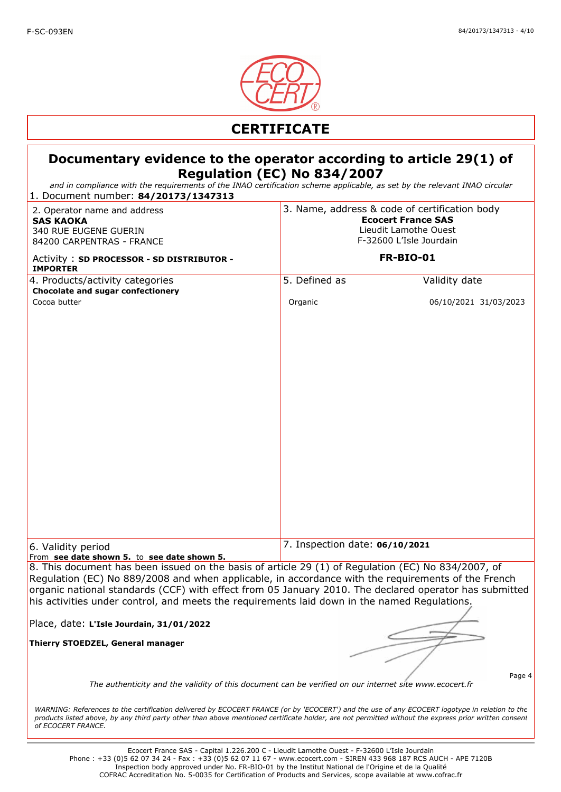

*and in compliance with the requirements of the INAO certification scheme applicable, as set by the relevant INAO circular*

| 1. Document number: 84/20173/1347313                                                                                                                                                                                                                                                                                                                                                                               |                                                                                                                                |                                |
|--------------------------------------------------------------------------------------------------------------------------------------------------------------------------------------------------------------------------------------------------------------------------------------------------------------------------------------------------------------------------------------------------------------------|--------------------------------------------------------------------------------------------------------------------------------|--------------------------------|
| 2. Operator name and address<br><b>SAS KAOKA</b><br>340 RUE EUGENE GUERIN<br>84200 CARPENTRAS - FRANCE                                                                                                                                                                                                                                                                                                             | 3. Name, address & code of certification body<br><b>Ecocert France SAS</b><br>Lieudit Lamothe Ouest<br>F-32600 L'Isle Jourdain |                                |
| Activity: SD PROCESSOR - SD DISTRIBUTOR -<br><b>IMPORTER</b>                                                                                                                                                                                                                                                                                                                                                       |                                                                                                                                | <b>FR-BIO-01</b>               |
| 4. Products/activity categories<br>Chocolate and sugar confectionery                                                                                                                                                                                                                                                                                                                                               | 5. Defined as                                                                                                                  | Validity date                  |
| Cocoa butter                                                                                                                                                                                                                                                                                                                                                                                                       | Organic                                                                                                                        | 06/10/2021 31/03/2023          |
| 6. Validity period<br>From see date shown 5. to see date shown 5.                                                                                                                                                                                                                                                                                                                                                  |                                                                                                                                | 7. Inspection date: 06/10/2021 |
| 8. This document has been issued on the basis of article 29 (1) of Regulation (EC) No 834/2007, of<br>Regulation (EC) No 889/2008 and when applicable, in accordance with the requirements of the French<br>organic national standards (CCF) with effect from 05 January 2010. The declared operator has submitted<br>his activities under control, and meets the requirements laid down in the named Regulations. |                                                                                                                                |                                |
| Place, date: L'Isle Jourdain, 31/01/2022                                                                                                                                                                                                                                                                                                                                                                           |                                                                                                                                |                                |
| Thierry STOEDZEL, General manager<br>Page 4<br>The authenticity and the validity of this document can be verified on our internet site www.ecocert.fr                                                                                                                                                                                                                                                              |                                                                                                                                |                                |
| WARNING: References to the certification delivered by ECOCERT FRANCE (or by 'ECOCERT') and the use of any ECOCERT logotype in relation to the<br>products listed above, by any third party other than above mentioned certificate holder, are not permitted without the express prior written consent<br>of ECOCERT FRANCE.                                                                                        |                                                                                                                                |                                |
|                                                                                                                                                                                                                                                                                                                                                                                                                    |                                                                                                                                |                                |

Ecocert France SAS - Capital 1.226.200 € - Lieudit Lamothe Ouest - F-32600 L'Isle Jourdain Phone : +33 (0)5 62 07 34 24 - Fax : +33 (0)5 62 07 11 67 - www.ecocert.com - SIREN 433 968 187 RCS AUCH - APE 7120B Inspection body approved under No. FR-BIO-01 by the Institut National de l'Origine et de la Qualité COFRAC Accreditation No. 5-0035 for Certification of Products and Services, scope available at www.cofrac.fr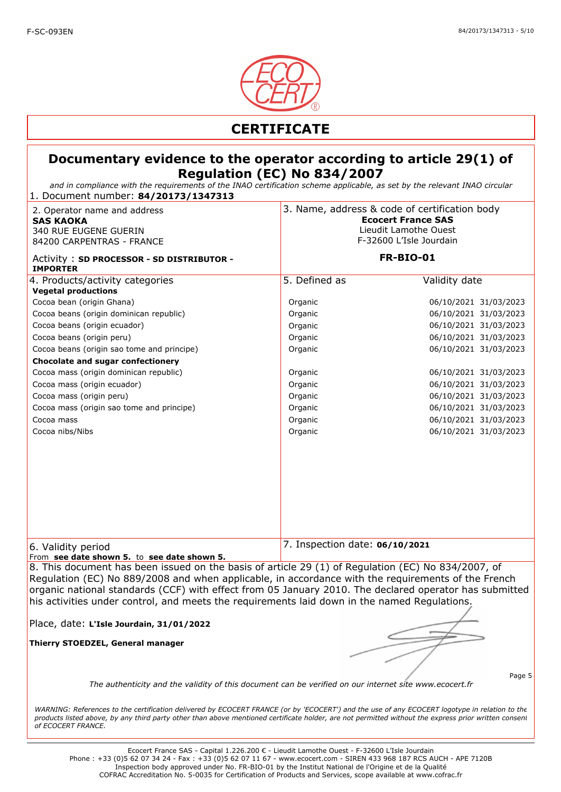

*and in compliance with the requirements of the INAO certification scheme applicable, as set by the relevant INAO circular* 1. Document number: **84/20173/1347313**

| 2. Operator name and address<br><b>SAS KAOKA</b><br>340 RUE EUGENE GUERIN<br>84200 CARPENTRAS - FRANCE                                                                                                   |                                | 3. Name, address & code of certification body<br><b>Ecocert France SAS</b><br>Lieudit Lamothe Ouest<br>F-32600 L'Isle Jourdain |  |
|----------------------------------------------------------------------------------------------------------------------------------------------------------------------------------------------------------|--------------------------------|--------------------------------------------------------------------------------------------------------------------------------|--|
| Activity: SD PROCESSOR - SD DISTRIBUTOR -<br><b>IMPORTER</b>                                                                                                                                             |                                | <b>FR-BIO-01</b>                                                                                                               |  |
| 4. Products/activity categories                                                                                                                                                                          | 5. Defined as                  | Validity date                                                                                                                  |  |
| <b>Vegetal productions</b><br>Cocoa bean (origin Ghana)                                                                                                                                                  | Organic                        | 06/10/2021 31/03/2023                                                                                                          |  |
|                                                                                                                                                                                                          |                                |                                                                                                                                |  |
| Cocoa beans (origin dominican republic)                                                                                                                                                                  | Organic                        | 06/10/2021 31/03/2023<br>06/10/2021 31/03/2023                                                                                 |  |
| Cocoa beans (origin ecuador)<br>Cocoa beans (origin peru)                                                                                                                                                | Organic                        | 06/10/2021 31/03/2023                                                                                                          |  |
|                                                                                                                                                                                                          | Organic<br>Organic             | 06/10/2021 31/03/2023                                                                                                          |  |
| Cocoa beans (origin sao tome and principe)                                                                                                                                                               |                                |                                                                                                                                |  |
| Chocolate and sugar confectionery<br>Cocoa mass (origin dominican republic)                                                                                                                              | Organic                        | 06/10/2021 31/03/2023                                                                                                          |  |
| Cocoa mass (origin ecuador)                                                                                                                                                                              | Organic                        | 06/10/2021 31/03/2023                                                                                                          |  |
|                                                                                                                                                                                                          |                                |                                                                                                                                |  |
| Cocoa mass (origin peru)                                                                                                                                                                                 | Organic                        | 06/10/2021 31/03/2023                                                                                                          |  |
| Cocoa mass (origin sao tome and principe)                                                                                                                                                                | Organic                        | 06/10/2021 31/03/2023                                                                                                          |  |
| Cocoa mass                                                                                                                                                                                               | Organic                        | 06/10/2021 31/03/2023                                                                                                          |  |
| Cocoa nibs/Nibs                                                                                                                                                                                          | Organic                        | 06/10/2021 31/03/2023                                                                                                          |  |
|                                                                                                                                                                                                          |                                |                                                                                                                                |  |
|                                                                                                                                                                                                          |                                |                                                                                                                                |  |
| 6. Validity period<br>From see date shown 5. to see date shown 5.                                                                                                                                        | 7. Inspection date: 06/10/2021 |                                                                                                                                |  |
| 8. This document has been issued on the basis of article 29 (1) of Regulation (EC) No 834/2007, of<br>Bequistion (EC) No. 000/2000 and when applicable in accordance with the requirements of the Erench |                                |                                                                                                                                |  |

Regulation (EC) No 889/2008 and when applicable, in accordance with the requirements of the French organic national standards (CCF) with effect from 05 January 2010. The declared operator has submitted his activities under control, and meets the requirements laid down in the named Regulations.

Place, date: **L'Isle Jourdain, 31/01/2022**

**Thierry STOEDZEL, General manager**

Page 5

*The authenticity and the validity of this document can be verified on our internet site www.ecocert.fr*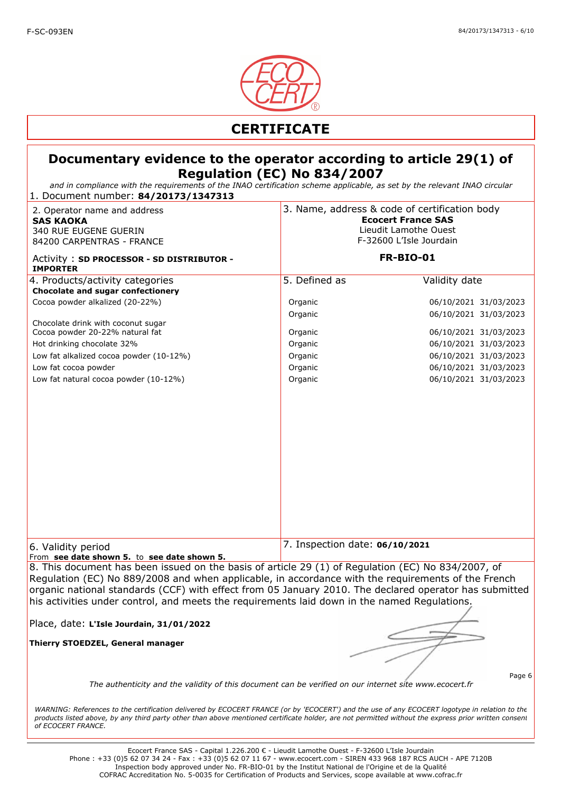

*and in compliance with the requirements of the INAO certification scheme applicable, as set by the relevant INAO circular* 1. Document number: **84/20173/1347313**

| $\frac{1}{2}$ . Document number. <b>0+/201/9/</b><br>2. Operator name and address<br><b>SAS KAOKA</b><br>340 RUE EUGENE GUERIN<br>84200 CARPENTRAS - FRANCE                                                                                                                                                                                                                                                        | 3. Name, address & code of certification body<br><b>Ecocert France SAS</b><br>Lieudit Lamothe Ouest<br>F-32600 L'Isle Jourdain |                                                |
|--------------------------------------------------------------------------------------------------------------------------------------------------------------------------------------------------------------------------------------------------------------------------------------------------------------------------------------------------------------------------------------------------------------------|--------------------------------------------------------------------------------------------------------------------------------|------------------------------------------------|
| Activity: SD PROCESSOR - SD DISTRIBUTOR -<br><b>IMPORTER</b>                                                                                                                                                                                                                                                                                                                                                       |                                                                                                                                | <b>FR-BIO-01</b>                               |
| 4. Products/activity categories<br>Chocolate and sugar confectionery                                                                                                                                                                                                                                                                                                                                               | 5. Defined as                                                                                                                  | Validity date                                  |
| Cocoa powder alkalized (20-22%)                                                                                                                                                                                                                                                                                                                                                                                    | Organic                                                                                                                        | 06/10/2021 31/03/2023                          |
| Chocolate drink with coconut sugar<br>Cocoa powder 20-22% natural fat                                                                                                                                                                                                                                                                                                                                              | Organic<br>Organic                                                                                                             | 06/10/2021 31/03/2023<br>06/10/2021 31/03/2023 |
| Hot drinking chocolate 32%<br>Low fat alkalized cocoa powder (10-12%)                                                                                                                                                                                                                                                                                                                                              | Organic<br>Organic                                                                                                             | 06/10/2021 31/03/2023<br>06/10/2021 31/03/2023 |
| Low fat cocoa powder                                                                                                                                                                                                                                                                                                                                                                                               | Organic                                                                                                                        | 06/10/2021 31/03/2023                          |
| Low fat natural cocoa powder (10-12%)                                                                                                                                                                                                                                                                                                                                                                              | Organic                                                                                                                        | 06/10/2021 31/03/2023                          |
|                                                                                                                                                                                                                                                                                                                                                                                                                    |                                                                                                                                |                                                |
| 6. Validity period<br>From see date shown 5. to see date shown 5.                                                                                                                                                                                                                                                                                                                                                  | 7. Inspection date: 06/10/2021                                                                                                 |                                                |
| 8. This document has been issued on the basis of article 29 (1) of Regulation (EC) No 834/2007, of<br>Regulation (EC) No 889/2008 and when applicable, in accordance with the requirements of the French<br>organic national standards (CCF) with effect from 05 January 2010. The declared operator has submitted<br>his activities under control, and meets the requirements laid down in the named Regulations. |                                                                                                                                |                                                |
| Place, date: L'Isle Jourdain, 31/01/2022                                                                                                                                                                                                                                                                                                                                                                           |                                                                                                                                |                                                |
| Thierry STOEDZEL, General manager                                                                                                                                                                                                                                                                                                                                                                                  |                                                                                                                                |                                                |
| Page 6<br>The authenticity and the validity of this document can be verified on our internet site www.ecocert.fr                                                                                                                                                                                                                                                                                                   |                                                                                                                                |                                                |
| WARNING: References to the certification delivered by ECOCERT FRANCE (or by 'ECOCERT') and the use of any ECOCERT logotype in relation to the<br>products listed above, by any third party other than above mentioned certificate holder, are not permitted without the express prior written consent<br>of ECOCERT FRANCE.                                                                                        |                                                                                                                                |                                                |
| Ecocert France SAS - Capital 1.226.200 € - Lieudit Lamothe Ouest - F-32600 L'Isle Jourdain                                                                                                                                                                                                                                                                                                                         |                                                                                                                                |                                                |

Phone : +33 (0)5 62 07 34 24 - Fax : +33 (0)5 62 07 11 67 - www.ecocert.com - SIREN 433 968 187 RCS AUCH - APE 7120B Inspection body approved under No. FR-BIO-01 by the Institut National de l'Origine et de la Qualité COFRAC Accreditation No. 5-0035 for Certification of Products and Services, scope available at www.cofrac.fr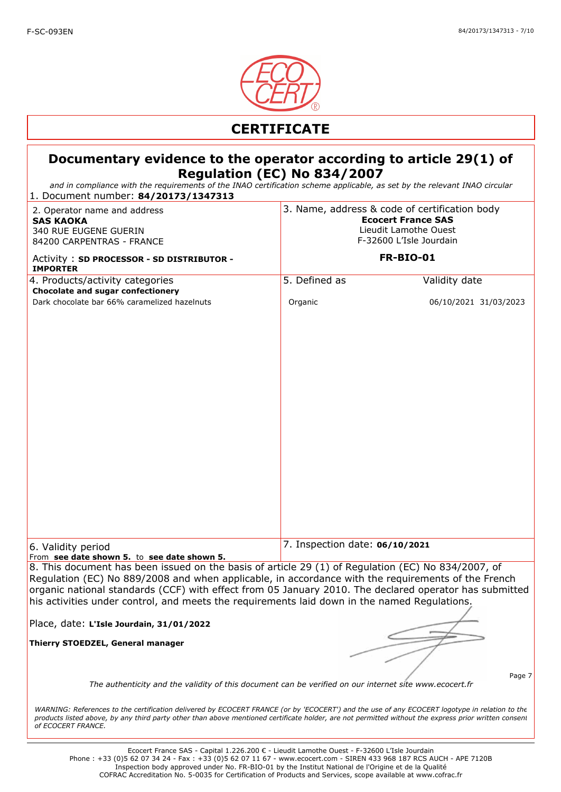

*and in compliance with the requirements of the INAO certification scheme applicable, as set by the relevant INAO circular*

| and in compliance with the regalientents or the INAO certification scheme applicable, as set by the relevant INAO circular<br>1. Document number: 84/20173/1347313                                                                                                                                                                                                                                                 |                                                                                                                                |                                |
|--------------------------------------------------------------------------------------------------------------------------------------------------------------------------------------------------------------------------------------------------------------------------------------------------------------------------------------------------------------------------------------------------------------------|--------------------------------------------------------------------------------------------------------------------------------|--------------------------------|
| 2. Operator name and address<br><b>SAS KAOKA</b><br>340 RUE EUGENE GUERIN<br>84200 CARPENTRAS - FRANCE                                                                                                                                                                                                                                                                                                             | 3. Name, address & code of certification body<br><b>Ecocert France SAS</b><br>Lieudit Lamothe Ouest<br>F-32600 L'Isle Jourdain |                                |
| Activity: SD PROCESSOR - SD DISTRIBUTOR -<br><b>IMPORTER</b>                                                                                                                                                                                                                                                                                                                                                       | <b>FR-BIO-01</b>                                                                                                               |                                |
| 4. Products/activity categories                                                                                                                                                                                                                                                                                                                                                                                    | 5. Defined as                                                                                                                  | Validity date                  |
| <b>Chocolate and sugar confectionery</b><br>Dark chocolate bar 66% caramelized hazelnuts                                                                                                                                                                                                                                                                                                                           | Organic                                                                                                                        | 06/10/2021 31/03/2023          |
|                                                                                                                                                                                                                                                                                                                                                                                                                    |                                                                                                                                |                                |
| 6. Validity period<br>From see date shown 5. to see date shown 5.                                                                                                                                                                                                                                                                                                                                                  |                                                                                                                                | 7. Inspection date: 06/10/2021 |
| 8. This document has been issued on the basis of article 29 (1) of Regulation (EC) No 834/2007, of<br>Regulation (EC) No 889/2008 and when applicable, in accordance with the requirements of the French<br>organic national standards (CCF) with effect from 05 January 2010. The declared operator has submitted<br>his activities under control, and meets the requirements laid down in the named Regulations. |                                                                                                                                |                                |
| Place, date: L'Isle Jourdain, 31/01/2022                                                                                                                                                                                                                                                                                                                                                                           |                                                                                                                                |                                |
| Thierry STOEDZEL, General manager                                                                                                                                                                                                                                                                                                                                                                                  |                                                                                                                                |                                |
| Page 7<br>The authenticity and the validity of this document can be verified on our internet site www.ecocert.fr                                                                                                                                                                                                                                                                                                   |                                                                                                                                |                                |
| WARNING: References to the certification delivered by ECOCERT FRANCE (or by 'ECOCERT') and the use of any ECOCERT logotype in relation to the<br>products listed above, by any third party other than above mentioned certificate holder, are not permitted without the express prior written consent<br>of ECOCERT FRANCE.                                                                                        |                                                                                                                                |                                |
| Ecocart France CAC Capital 1, 226, 200 $F$ Liquidit Lampthe Quest LE 22600 UTslo Jourdain                                                                                                                                                                                                                                                                                                                          |                                                                                                                                |                                |

Ecocert France SAS - Capital 1.226.200 € - Lieudit Lamothe Ouest - F-32600 L'Isle Jourdain Phone : +33 (0)5 62 07 34 24 - Fax : +33 (0)5 62 07 11 67 - www.ecocert.com - SIREN 433 968 187 RCS AUCH - APE 7120B Inspection body approved under No. FR-BIO-01 by the Institut National de l'Origine et de la Qualité COFRAC Accreditation No. 5-0035 for Certification of Products and Services, scope available at www.cofrac.fr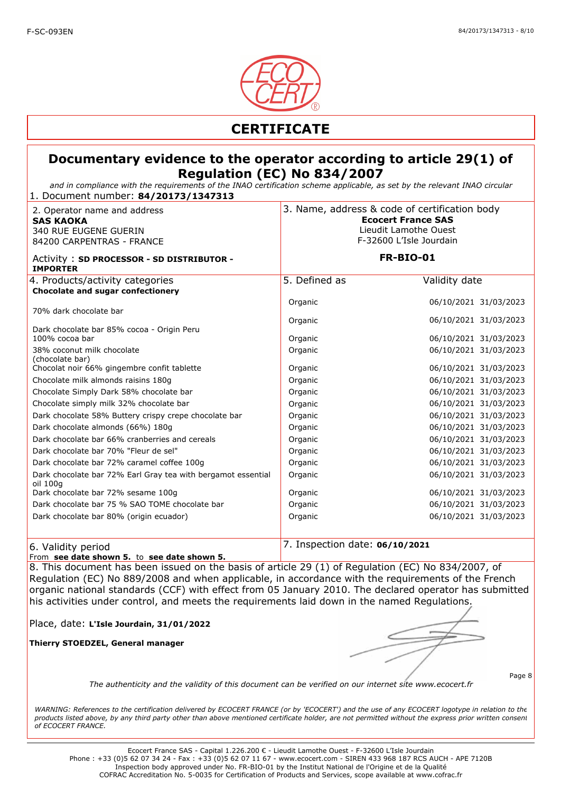

*and in compliance with the requirements of the INAO certification scheme applicable, as set by the relevant INAO circular* 1. Document number: **84/20173/1347313**

| 2. Operator name and address<br><b>SAS KAOKA</b><br>340 RUE EUGENE GUERIN<br>84200 CARPENTRAS - FRANCE | 3. Name, address & code of certification body<br><b>Ecocert France SAS</b><br>Lieudit Lamothe Ouest<br>F-32600 L'Isle Jourdain |                       |
|--------------------------------------------------------------------------------------------------------|--------------------------------------------------------------------------------------------------------------------------------|-----------------------|
| Activity: SD PROCESSOR - SD DISTRIBUTOR -<br><b>IMPORTER</b>                                           | <b>FR-BIO-01</b>                                                                                                               |                       |
| 4. Products/activity categories                                                                        | 5. Defined as                                                                                                                  | Validity date         |
| Chocolate and sugar confectionery                                                                      |                                                                                                                                |                       |
|                                                                                                        | Organic                                                                                                                        | 06/10/2021 31/03/2023 |
| 70% dark chocolate bar                                                                                 | Organic                                                                                                                        | 06/10/2021 31/03/2023 |
| Dark chocolate bar 85% cocoa - Origin Peru                                                             |                                                                                                                                |                       |
| 100% cocoa bar                                                                                         | Organic                                                                                                                        | 06/10/2021 31/03/2023 |
| 38% coconut milk chocolate                                                                             | Organic                                                                                                                        | 06/10/2021 31/03/2023 |
| (chocolate bar)<br>Chocolat noir 66% gingembre confit tablette                                         | Organic                                                                                                                        | 06/10/2021 31/03/2023 |
| Chocolate milk almonds raisins 180g                                                                    | Organic                                                                                                                        | 06/10/2021 31/03/2023 |
| Chocolate Simply Dark 58% chocolate bar                                                                | Organic                                                                                                                        | 06/10/2021 31/03/2023 |
| Chocolate simply milk 32% chocolate bar                                                                | Organic                                                                                                                        | 06/10/2021 31/03/2023 |
| Dark chocolate 58% Buttery crispy crepe chocolate bar                                                  | Organic                                                                                                                        | 06/10/2021 31/03/2023 |
| Dark chocolate almonds (66%) 180g                                                                      | Organic                                                                                                                        | 06/10/2021 31/03/2023 |
| Dark chocolate bar 66% cranberries and cereals                                                         | Organic                                                                                                                        | 06/10/2021 31/03/2023 |
| Dark chocolate bar 70% "Fleur de sel"                                                                  | Organic                                                                                                                        | 06/10/2021 31/03/2023 |
| Dark chocolate bar 72% caramel coffee 100g                                                             | Organic                                                                                                                        | 06/10/2021 31/03/2023 |
| Dark chocolate bar 72% Earl Gray tea with bergamot essential<br>oil 100g                               | Organic                                                                                                                        | 06/10/2021 31/03/2023 |
| Dark chocolate bar 72% sesame 100g                                                                     | Organic                                                                                                                        | 06/10/2021 31/03/2023 |
| Dark chocolate bar 75 % SAO TOME chocolate bar                                                         | Organic                                                                                                                        | 06/10/2021 31/03/2023 |
| Dark chocolate bar 80% (origin ecuador)                                                                | Organic                                                                                                                        | 06/10/2021 31/03/2023 |
| 6. Validity period                                                                                     | 7. Inspection date: 06/10/2021                                                                                                 |                       |

From **see date shown 5.** to **see date shown 5.** 

8. This document has been issued on the basis of article 29 (1) of Regulation (EC) No 834/2007, of Regulation (EC) No 889/2008 and when applicable, in accordance with the requirements of the French organic national standards (CCF) with effect from 05 January 2010. The declared operator has submitted his activities under control, and meets the requirements laid down in the named Regulations.

Place, date: **L'Isle Jourdain, 31/01/2022**

**Thierry STOEDZEL, General manager**

Page 8

*The authenticity and the validity of this document can be verified on our internet site www.ecocert.fr*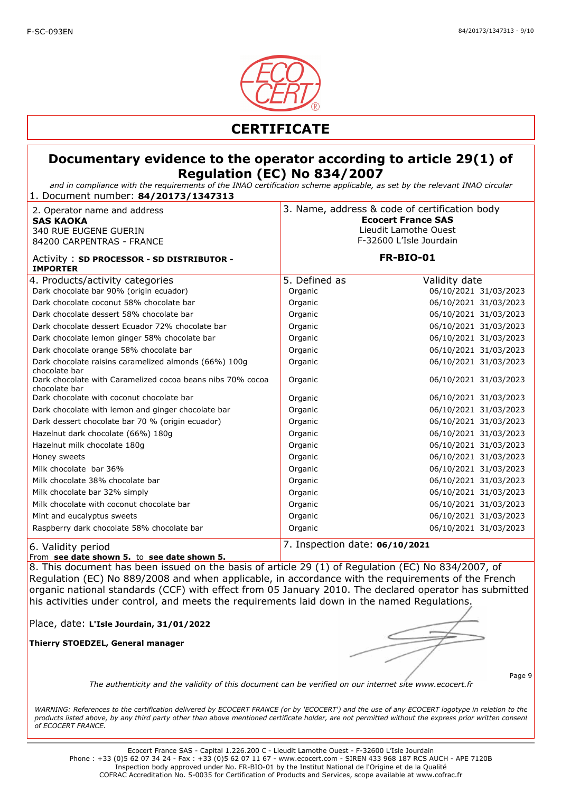

*and in compliance with the requirements of the INAO certification scheme applicable, as set by the relevant INAO circular* 1. Document number: **84/20173/1347313**

| 2. Operator name and address<br><b>SAS KAOKA</b><br>340 RUE EUGENE GUERIN<br>84200 CARPENTRAS - FRANCE | 3. Name, address & code of certification body<br><b>Ecocert France SAS</b><br>Lieudit Lamothe Ouest<br>F-32600 L'Isle Jourdain |                       |
|--------------------------------------------------------------------------------------------------------|--------------------------------------------------------------------------------------------------------------------------------|-----------------------|
| Activity: SD PROCESSOR - SD DISTRIBUTOR -<br><b>IMPORTER</b>                                           |                                                                                                                                | <b>FR-BIO-01</b>      |
| 4. Products/activity categories                                                                        | 5. Defined as                                                                                                                  | Validity date         |
| Dark chocolate bar 90% (origin ecuador)                                                                | Organic                                                                                                                        | 06/10/2021 31/03/2023 |
| Dark chocolate coconut 58% chocolate bar                                                               | Organic                                                                                                                        | 06/10/2021 31/03/2023 |
| Dark chocolate dessert 58% chocolate bar                                                               | Organic                                                                                                                        | 06/10/2021 31/03/2023 |
| Dark chocolate dessert Ecuador 72% chocolate bar                                                       | Organic                                                                                                                        | 06/10/2021 31/03/2023 |
| Dark chocolate lemon ginger 58% chocolate bar                                                          | Organic                                                                                                                        | 06/10/2021 31/03/2023 |
| Dark chocolate orange 58% chocolate bar                                                                | Organic                                                                                                                        | 06/10/2021 31/03/2023 |
| Dark chocolate raisins caramelized almonds (66%) 100q<br>chocolate bar                                 | Organic                                                                                                                        | 06/10/2021 31/03/2023 |
| Dark chocolate with Caramelized cocoa beans nibs 70% cocoa<br>chocolate bar                            | Organic                                                                                                                        | 06/10/2021 31/03/2023 |
| Dark chocolate with coconut chocolate bar                                                              | Organic                                                                                                                        | 06/10/2021 31/03/2023 |
| Dark chocolate with lemon and ginger chocolate bar                                                     | Organic                                                                                                                        | 06/10/2021 31/03/2023 |
| Dark dessert chocolate bar 70 % (origin ecuador)                                                       | Organic                                                                                                                        | 06/10/2021 31/03/2023 |
| Hazelnut dark chocolate (66%) 180g                                                                     | Organic                                                                                                                        | 06/10/2021 31/03/2023 |
| Hazelnut milk chocolate 180g                                                                           | Organic                                                                                                                        | 06/10/2021 31/03/2023 |
| Honey sweets                                                                                           | Organic                                                                                                                        | 06/10/2021 31/03/2023 |
| Milk chocolate bar 36%                                                                                 | Organic                                                                                                                        | 06/10/2021 31/03/2023 |
| Milk chocolate 38% chocolate bar                                                                       | Organic                                                                                                                        | 06/10/2021 31/03/2023 |
| Milk chocolate bar 32% simply                                                                          | Organic                                                                                                                        | 06/10/2021 31/03/2023 |
| Milk chocolate with coconut chocolate bar                                                              | Organic                                                                                                                        | 06/10/2021 31/03/2023 |
| Mint and eucalyptus sweets                                                                             | Organic                                                                                                                        | 06/10/2021 31/03/2023 |
| Raspberry dark chocolate 58% chocolate bar                                                             | Organic                                                                                                                        | 06/10/2021 31/03/2023 |
| 6. Validity period                                                                                     | 7. Inspection date: 06/10/2021                                                                                                 |                       |

#### From **see date shown 5.** to **see date shown 5.**

8. This document has been issued on the basis of article 29 (1) of Regulation (EC) No 834/2007, of Regulation (EC) No 889/2008 and when applicable, in accordance with the requirements of the French organic national standards (CCF) with effect from 05 January 2010. The declared operator has submitted his activities under control, and meets the requirements laid down in the named Regulations.

Place, date: **L'Isle Jourdain, 31/01/2022**

**Thierry STOEDZEL, General manager**

Page 9

*The authenticity and the validity of this document can be verified on our internet site www.ecocert.fr*